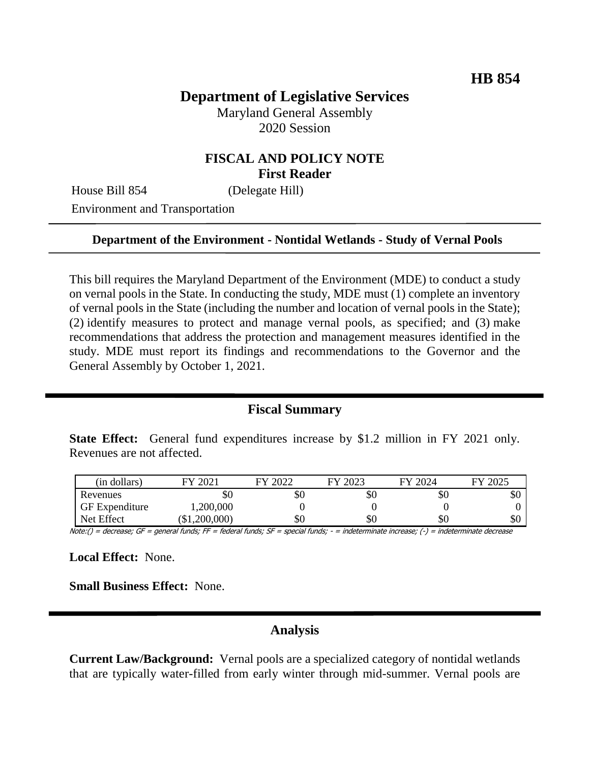# **Department of Legislative Services**

Maryland General Assembly 2020 Session

### **FISCAL AND POLICY NOTE First Reader**

House Bill 854 (Delegate Hill)

Environment and Transportation

#### **Department of the Environment - Nontidal Wetlands - Study of Vernal Pools**

This bill requires the Maryland Department of the Environment (MDE) to conduct a study on vernal pools in the State. In conducting the study, MDE must (1) complete an inventory of vernal pools in the State (including the number and location of vernal pools in the State); (2) identify measures to protect and manage vernal pools, as specified; and (3) make recommendations that address the protection and management measures identified in the study. MDE must report its findings and recommendations to the Governor and the General Assembly by October 1, 2021.

### **Fiscal Summary**

**State Effect:** General fund expenditures increase by \$1.2 million in FY 2021 only. Revenues are not affected.

| (in dollars)          | 2021<br>FV.   | 2027 | FY 2023 | FY 2024 | 2025<br>FV |
|-----------------------|---------------|------|---------|---------|------------|
| Revenues              | УU            | \$0  | \$0     | \$0     | DU.        |
| <b>GF</b> Expenditure | 1,200,000     |      |         |         |            |
| Net Effect            | (\$1,200,000) | \$0  | \$0     | \$0     | \$0        |

Note:() = decrease; GF = general funds; FF = federal funds; SF = special funds; - = indeterminate increase; (-) = indeterminate decrease

**Local Effect:** None.

**Small Business Effect:** None.

### **Analysis**

**Current Law/Background:** Vernal pools are a specialized category of nontidal wetlands that are typically water-filled from early winter through mid-summer. Vernal pools are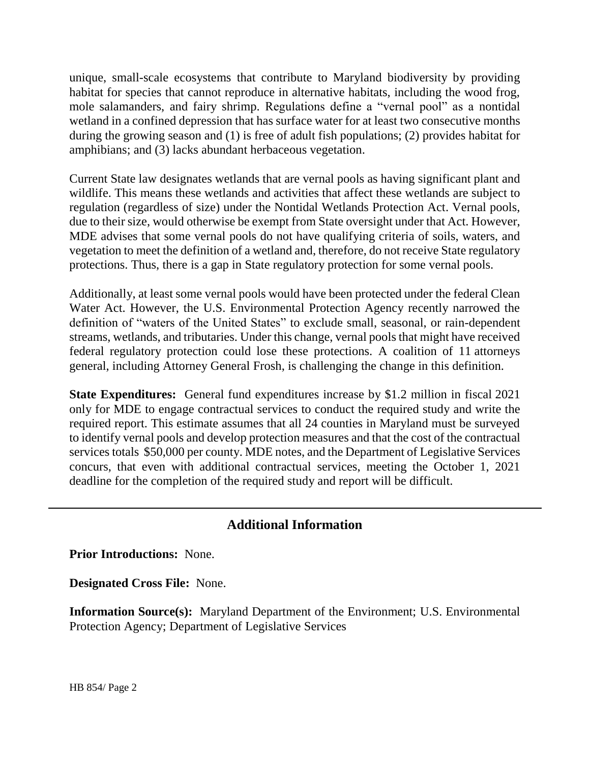unique, small-scale ecosystems that contribute to Maryland biodiversity by providing habitat for species that cannot reproduce in alternative habitats, including the wood frog, mole salamanders, and fairy shrimp. Regulations define a "vernal pool" as a nontidal wetland in a confined depression that has surface water for at least two consecutive months during the growing season and (1) is free of adult fish populations; (2) provides habitat for amphibians; and (3) lacks abundant herbaceous vegetation.

Current State law designates wetlands that are vernal pools as having significant plant and wildlife. This means these wetlands and activities that affect these wetlands are subject to regulation (regardless of size) under the Nontidal Wetlands Protection Act. Vernal pools, due to their size, would otherwise be exempt from State oversight under that Act. However, MDE advises that some vernal pools do not have qualifying criteria of soils, waters, and vegetation to meet the definition of a wetland and, therefore, do not receive State regulatory protections. Thus, there is a gap in State regulatory protection for some vernal pools.

Additionally, at least some vernal pools would have been protected under the federal Clean Water Act. However, the U.S. Environmental Protection Agency recently narrowed the definition of "waters of the United States" to exclude small, seasonal, or rain-dependent streams, wetlands, and tributaries. Under this change, vernal pools that might have received federal regulatory protection could lose these protections. A coalition of 11 attorneys general, including Attorney General Frosh, is challenging the change in this definition.

**State Expenditures:** General fund expenditures increase by \$1.2 million in fiscal 2021 only for MDE to engage contractual services to conduct the required study and write the required report. This estimate assumes that all 24 counties in Maryland must be surveyed to identify vernal pools and develop protection measures and that the cost of the contractual services totals \$50,000 per county. MDE notes, and the Department of Legislative Services concurs, that even with additional contractual services, meeting the October 1, 2021 deadline for the completion of the required study and report will be difficult.

## **Additional Information**

**Prior Introductions:** None.

**Designated Cross File:** None.

**Information Source(s):** Maryland Department of the Environment; U.S. Environmental Protection Agency; Department of Legislative Services